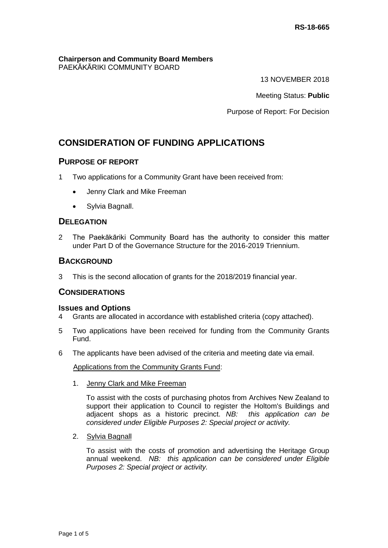#### **Chairperson and Community Board Members** PAEKĀKĀRIKI COMMUNITY BOARD

13 NOVEMBER 2018

Meeting Status: **Public**

Purpose of Report: For Decision

# **CONSIDERATION OF FUNDING APPLICATIONS**

### **PURPOSE OF REPORT**

- 1 Two applications for a Community Grant have been received from:
	- Jenny Clark and Mike Freeman
	- Sylvia Bagnall.

### **DELEGATION**

2 The Paekākāriki Community Board has the authority to consider this matter under Part D of the Governance Structure for the 2016-2019 Triennium.

### **BACKGROUND**

3 This is the second allocation of grants for the 2018/2019 financial year.

## **CONSIDERATIONS**

### **Issues and Options**

- 4 Grants are allocated in accordance with established criteria (copy attached).
- 5 Two applications have been received for funding from the Community Grants Fund.
- 6 The applicants have been advised of the criteria and meeting date via email.

Applications from the Community Grants Fund:

1. Jenny Clark and Mike Freeman

To assist with the costs of purchasing photos from Archives New Zealand to support their application to Council to register the Holtom's Buildings and adjacent shops as a historic precinct. *NB: this application can be considered under Eligible Purposes 2: Special project or activity.*

2. Sylvia Bagnall

To assist with the costs of promotion and advertising the Heritage Group annual weekend. *NB: this application can be considered under Eligible Purposes 2: Special project or activity.*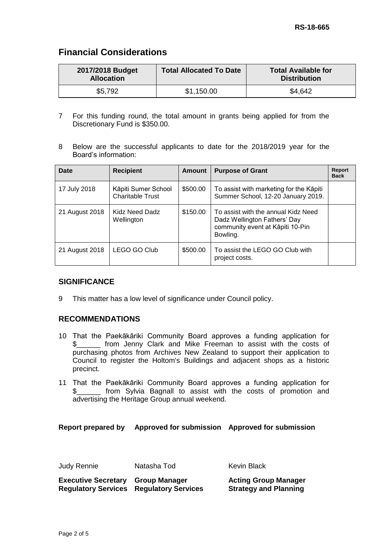# **Financial Considerations**

| 2017/2018 Budget<br><b>Allocation</b> | <b>Total Allocated To Date</b> | <b>Total Available for</b><br><b>Distribution</b> |
|---------------------------------------|--------------------------------|---------------------------------------------------|
| \$5,792                               | \$1,150.00                     | \$4,642                                           |

- 7 For this funding round, the total amount in grants being applied for from the Discretionary Fund is \$350.00.
- 8 Below are the successful applicants to date for the 2018/2019 year for the Board's information:

| Date           | <b>Recipient</b>                               | Amount   | <b>Purpose of Grant</b>                                                                                             | Report<br><b>Back</b> |
|----------------|------------------------------------------------|----------|---------------------------------------------------------------------------------------------------------------------|-----------------------|
| 17 July 2018   | Kāpiti Sumer School<br><b>Charitable Trust</b> | \$500.00 | To assist with marketing for the Kāpiti<br>Summer School, 12-20 January 2019.                                       |                       |
| 21 August 2018 | Kidz Need Dadz<br>Wellington                   | \$150.00 | To assist with the annual Kidz Need<br>Dadz Wellington Fathers' Day<br>community event at Kāpiti 10-Pin<br>Bowling. |                       |
| 21 August 2018 | LEGO GO Club                                   | \$500.00 | To assist the LEGO GO Club with<br>project costs.                                                                   |                       |

## **SIGNIFICANCE**

9 This matter has a low level of significance under Council policy.

## **RECOMMENDATIONS**

- 10 That the Paekākāriki Community Board approves a funding application for \$\_\_\_\_\_\_ from Jenny Clark and Mike Freeman to assist with the costs of purchasing photos from Archives New Zealand to support their application to Council to register the Holtom's Buildings and adjacent shops as a historic precinct.
- 11 That the Paekākāriki Community Board approves a funding application for \$\_\_\_\_\_\_ from Sylvia Bagnall to assist with the costs of promotion and advertising the Heritage Group annual weekend.

### **Report prepared by Approved for submission Approved for submission**

Judy Rennie Natasha Tod Kevin Black

| <b>Executive Secretary Group Manager</b> |                                                | <b>Acting Group Manager</b>  |
|------------------------------------------|------------------------------------------------|------------------------------|
|                                          | <b>Regulatory Services Regulatory Services</b> | <b>Strategy and Planning</b> |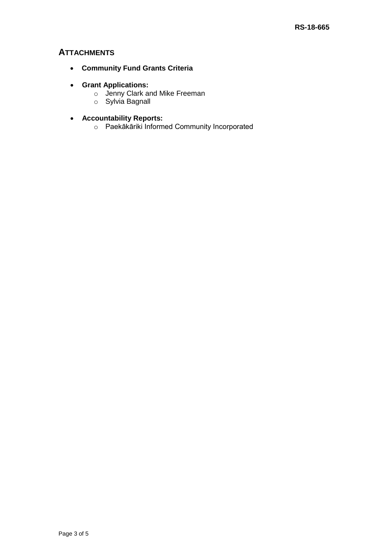## **ATTACHMENTS**

- **Community Fund Grants Criteria**
- **Grant Applications:**
	- o Jenny Clark and Mike Freeman
	- o Sylvia Bagnall
- **Accountability Reports:**
	- o Paekākāriki Informed Community Incorporated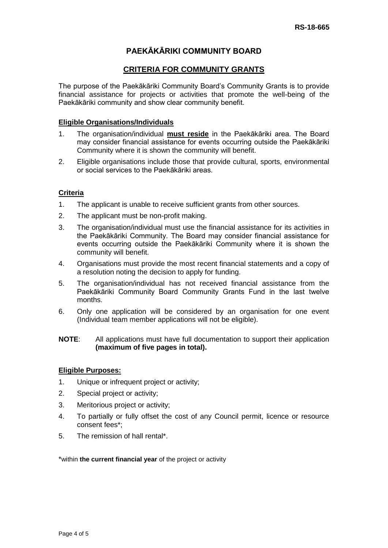## **PAEKĀKĀRIKI COMMUNITY BOARD**

### **CRITERIA FOR COMMUNITY GRANTS**

The purpose of the Paekākāriki Community Board's Community Grants is to provide financial assistance for projects or activities that promote the well-being of the Paekākāriki community and show clear community benefit.

### **Eligible Organisations/Individuals**

- 1. The organisation/individual **must reside** in the Paekākāriki area. The Board may consider financial assistance for events occurring outside the Paekākāriki Community where it is shown the community will benefit.
- 2. Eligible organisations include those that provide cultural, sports, environmental or social services to the Paekākāriki areas.

### **Criteria**

- 1. The applicant is unable to receive sufficient grants from other sources.
- 2. The applicant must be non-profit making.
- 3. The organisation/individual must use the financial assistance for its activities in the Paekākāriki Community. The Board may consider financial assistance for events occurring outside the Paekākāriki Community where it is shown the community will benefit.
- 4. Organisations must provide the most recent financial statements and a copy of a resolution noting the decision to apply for funding.
- 5. The organisation/individual has not received financial assistance from the Paekākāriki Community Board Community Grants Fund in the last twelve months.
- 6. Only one application will be considered by an organisation for one event (Individual team member applications will not be eligible).

### **NOTE**: All applications must have full documentation to support their application **(maximum of five pages in total).**

### **Eligible Purposes:**

- 1. Unique or infrequent project or activity;
- 2. Special project or activity;
- 3. Meritorious project or activity;
- 4. To partially or fully offset the cost of any Council permit, licence or resource consent fees\*;
- 5. The remission of hall rental\*.

\*within **the current financial year** of the project or activity